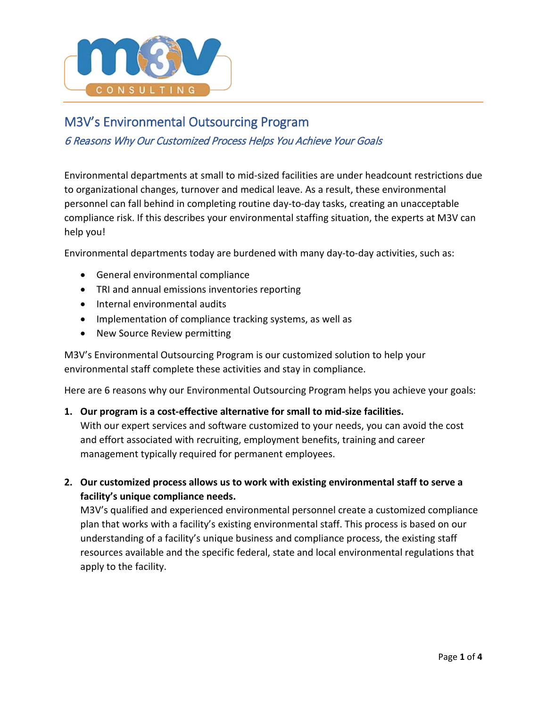

# M3V's Environmental Outsourcing Program

## 6 Reasons Why Our Customized Process Helps You Achieve Your Goals

Environmental departments at small to mid-sized facilities are under headcount restrictions due to organizational changes, turnover and medical leave. As a result, these environmental personnel can fall behind in completing routine day-to-day tasks, creating an unacceptable compliance risk. If this describes your environmental staffing situation, the experts at M3V can help you!

Environmental departments today are burdened with many day-to-day activities, such as:

- General environmental compliance
- TRI and annual emissions inventories reporting
- Internal environmental audits
- Implementation of compliance tracking systems, as well as
- New Source Review permitting

M3V's Environmental Outsourcing Program is our customized solution to help your environmental staff complete these activities and stay in compliance.

Here are 6 reasons why our Environmental Outsourcing Program helps you achieve your goals:

#### **1. Our program is a cost-effective alternative for small to mid-size facilities.**

With our expert services and software customized to your needs, you can avoid the cost and effort associated with recruiting, employment benefits, training and career management typically required for permanent employees.

**2. Our customized process allows us to work with existing environmental staff to serve a facility's unique compliance needs.**

M3V's qualified and experienced environmental personnel create a customized compliance plan that works with a facility's existing environmental staff. This process is based on our understanding of a facility's unique business and compliance process, the existing staff resources available and the specific federal, state and local environmental regulations that apply to the facility.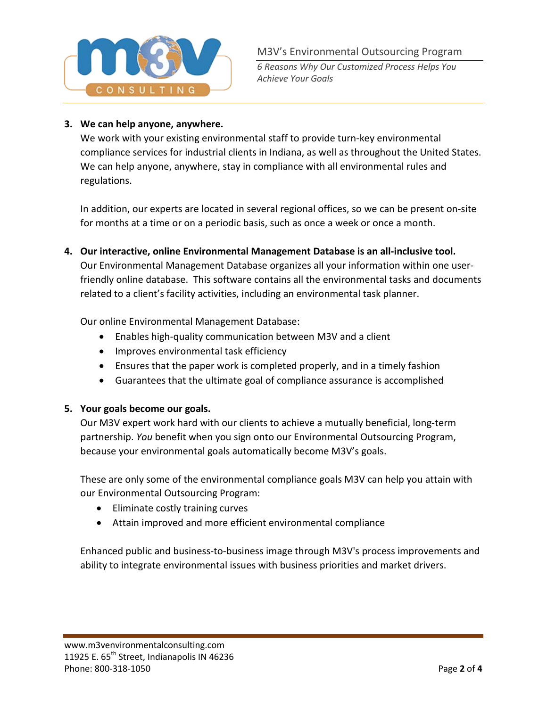

*6 Reasons Why Our Customized Process Helps You Achieve Your Goals*

## **3. We can help anyone, anywhere.**

We work with your existing environmental staff to provide turn-key environmental compliance services for industrial clients in Indiana, as well as throughout the United States. We can help anyone, anywhere, stay in compliance with all environmental rules and regulations.

In addition, our experts are located in several regional offices, so we can be present on-site for months at a time or on a periodic basis, such as once a week or once a month.

**4. Our interactive, online Environmental Management Database is an all-inclusive tool.** Our Environmental Management Database organizes all your information within one userfriendly online database. This software contains all the environmental tasks and documents related to a client's facility activities, including an environmental task planner.

Our online Environmental Management Database:

- Enables high-quality communication between M3V and a client
- Improves environmental task efficiency
- Ensures that the paper work is completed properly, and in a timely fashion
- Guarantees that the ultimate goal of compliance assurance is accomplished

### **5. Your goals become our goals.**

Our M3V expert work hard with our clients to achieve a mutually beneficial, long-term partnership. *You* benefit when you sign onto our Environmental Outsourcing Program, because your environmental goals automatically become M3V's goals.

These are only some of the environmental compliance goals M3V can help you attain with our Environmental Outsourcing Program:

- Eliminate costly training curves
- Attain improved and more efficient environmental compliance

Enhanced public and business-to-business image through M3V's process improvements and ability to integrate environmental issues with business priorities and market drivers.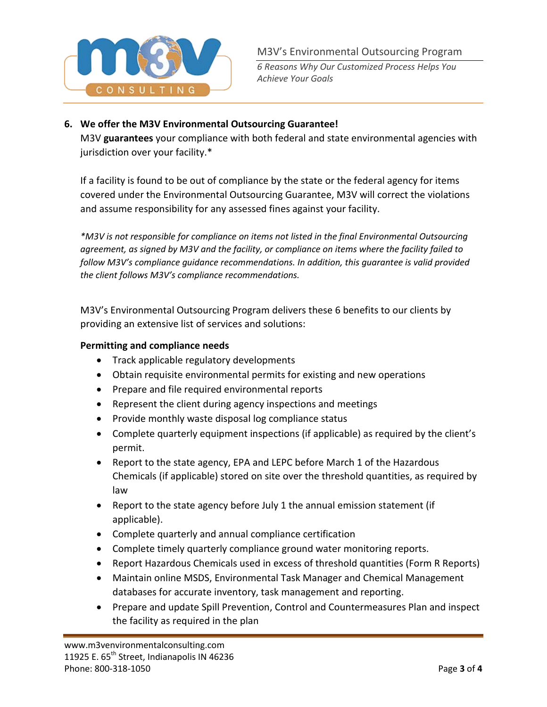

*6 Reasons Why Our Customized Process Helps You Achieve Your Goals*

#### **6. We offer the M3V Environmental Outsourcing Guarantee!**

M3V **guarantees** your compliance with both federal and state environmental agencies with jurisdiction over your facility.\*

If a facility is found to be out of compliance by the state or the federal agency for items covered under the Environmental Outsourcing Guarantee, M3V will correct the violations and assume responsibility for any assessed fines against your facility.

*\*M3V is not responsible for compliance on items not listed in the final Environmental Outsourcing agreement, as signed by M3V and the facility, or compliance on items where the facility failed to follow M3V's compliance guidance recommendations. In addition, this guarantee is valid provided the client follows M3V's compliance recommendations.*

M3V's Environmental Outsourcing Program delivers these 6 benefits to our clients by providing an extensive list of services and solutions:

#### **Permitting and compliance needs**

- Track applicable regulatory developments
- Obtain requisite environmental permits for existing and new operations
- Prepare and file required environmental reports
- Represent the client during agency inspections and meetings
- Provide monthly waste disposal log compliance status
- Complete quarterly equipment inspections (if applicable) as required by the client's permit.
- Report to the state agency, EPA and LEPC before March 1 of the Hazardous Chemicals (if applicable) stored on site over the threshold quantities, as required by law
- Report to the state agency before July 1 the annual emission statement (if applicable).
- Complete quarterly and annual compliance certification
- Complete timely quarterly compliance ground water monitoring reports.
- Report Hazardous Chemicals used in excess of threshold quantities (Form R Reports)
- Maintain online MSDS, Environmental Task Manager and Chemical Management databases for accurate inventory, task management and reporting.
- Prepare and update Spill Prevention, Control and Countermeasures Plan and inspect the facility as required in the plan